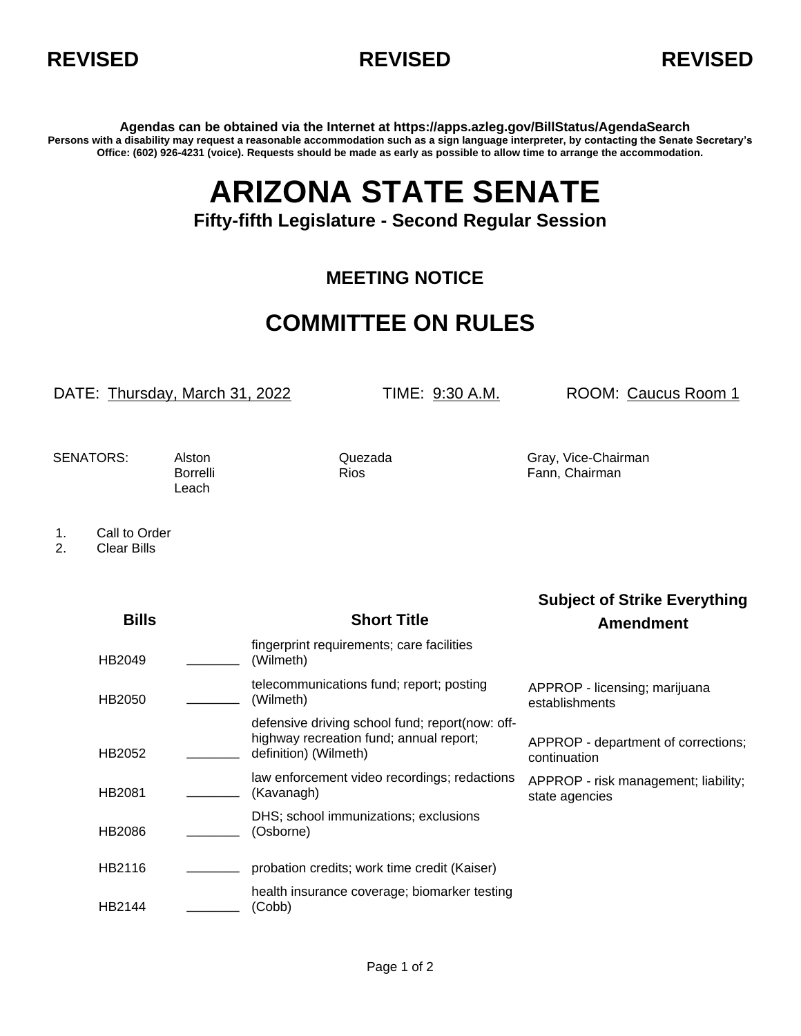



**Agendas can be obtained via the Internet at https://apps.azleg.gov/BillStatus/AgendaSearch Persons with a disability may request a reasonable accommodation such as a sign language interpreter, by contacting the Senate Secretary's Office: (602) 926-4231 (voice). Requests should be made as early as possible to allow time to arrange the accommodation.**

## **ARIZONA STATE SENATE**

## **Fifty-fifth Legislature - Second Regular Session**

## **MEETING NOTICE**

## **COMMITTEE ON RULES**

DATE: Thursday, March 31, 2022 TIME: 9:30 A.M. ROOM: Caucus Room 1

**Subject of Strike Everything**

Leach

SENATORS: Alston Cuezada Gray, Vice-Chairman Borrelli Rios Rios Fann, Chairman

1. Call to Order<br>2. Clear Bills

2. Clear Bills

| <b>Bills</b> | <b>Short Title</b>                                                                                                  | <b>Amendment</b>                                       |
|--------------|---------------------------------------------------------------------------------------------------------------------|--------------------------------------------------------|
| HB2049       | fingerprint requirements; care facilities<br>(Wilmeth)                                                              |                                                        |
| HB2050       | telecommunications fund; report; posting<br>(Wilmeth)                                                               | APPROP - licensing; marijuana<br>establishments        |
| HB2052       | defensive driving school fund; report(now: off-<br>highway recreation fund; annual report;<br>definition) (Wilmeth) | APPROP - department of corrections;<br>continuation    |
| HB2081       | law enforcement video recordings; redactions<br>(Kavanagh)                                                          | APPROP - risk management; liability;<br>state agencies |
| HB2086       | DHS; school immunizations; exclusions<br>(Osborne)                                                                  |                                                        |
| HB2116       | probation credits; work time credit (Kaiser)                                                                        |                                                        |
| HB2144       | health insurance coverage; biomarker testing<br>(Cobb)                                                              |                                                        |